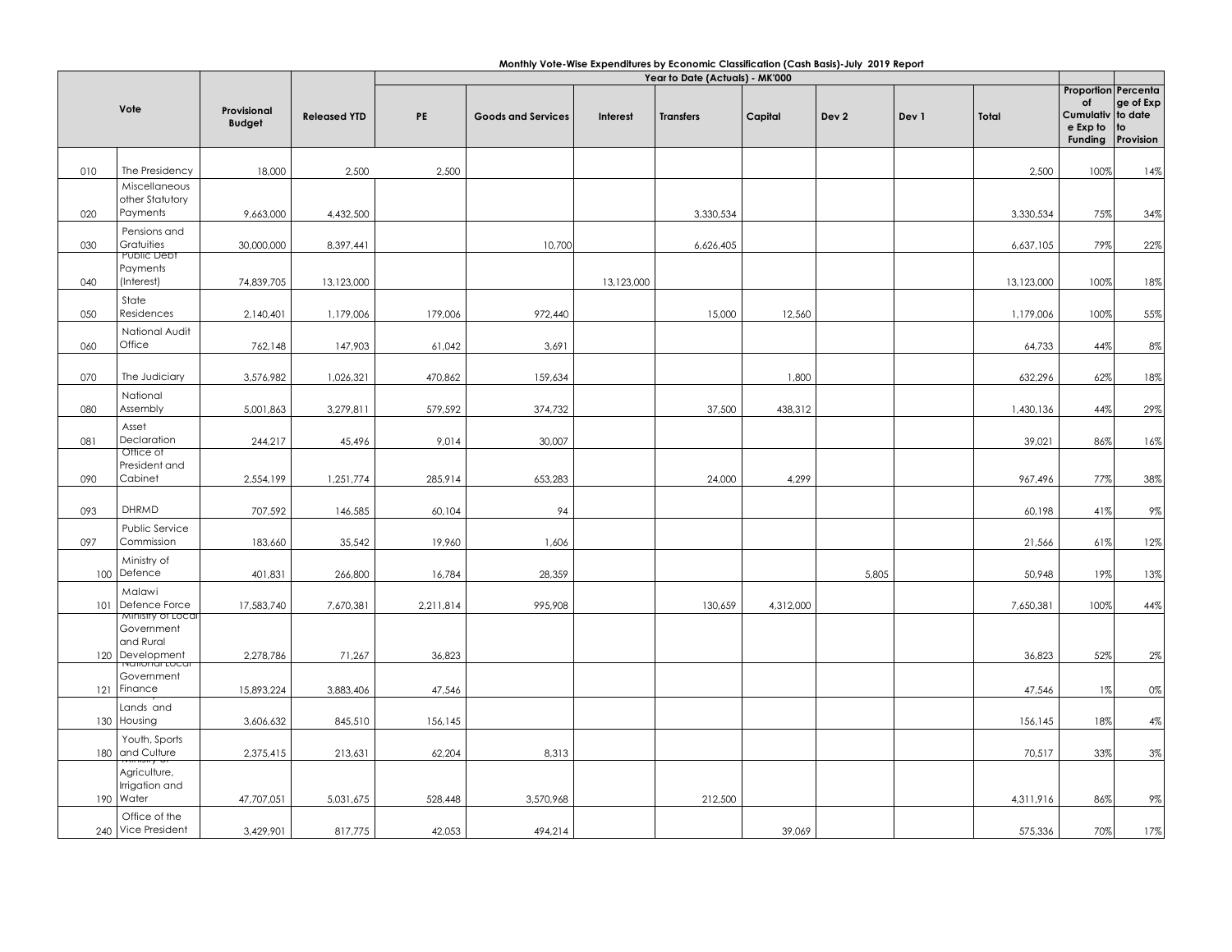|     |                                  |                              | Year to Date (Actuals) - MK'000 |           |                           |            |                  |           |                  |       |            |                                                                      |                                         |
|-----|----------------------------------|------------------------------|---------------------------------|-----------|---------------------------|------------|------------------|-----------|------------------|-------|------------|----------------------------------------------------------------------|-----------------------------------------|
|     | Vote                             | Provisional<br><b>Budget</b> | <b>Released YTD</b>             | PE        | <b>Goods and Services</b> | Interest   | <b>Transfers</b> | Capital   | Dev <sub>2</sub> | Dev 1 | Total      | <b>Proportion Percenta</b><br>of<br>Cumulativ<br>e Exp to<br>Funding | ge of Exp<br>to date<br>to<br>Provision |
|     | The Presidency                   |                              |                                 |           |                           |            |                  |           |                  |       |            |                                                                      |                                         |
| 010 | Miscellaneous                    | 18,000                       | 2,500                           | 2,500     |                           |            |                  |           |                  |       | 2,500      | 100%                                                                 | 14%                                     |
|     | other Statutory                  |                              |                                 |           |                           |            |                  |           |                  |       |            |                                                                      |                                         |
| 020 | Payments                         | 9,663,000                    | 4,432,500                       |           |                           |            | 3,330,534        |           |                  |       | 3,330,534  | 75%                                                                  | 34%                                     |
|     | Pensions and                     |                              |                                 |           |                           |            |                  |           |                  |       |            |                                                                      |                                         |
| 030 | Gratuities<br><b>Public Debt</b> | 30,000,000                   | 8,397,441                       |           | 10,700                    |            | 6,626,405        |           |                  |       | 6,637,105  | 79%                                                                  | 22%                                     |
|     | Payments                         |                              |                                 |           |                           |            |                  |           |                  |       |            |                                                                      |                                         |
| 040 | (Interest)                       | 74,839,705                   | 13,123,000                      |           |                           | 13,123,000 |                  |           |                  |       | 13,123,000 | 100%                                                                 | 18%                                     |
| 050 | State<br>Residences              | 2,140,401                    | 1,179,006                       | 179,006   | 972,440                   |            | 15,000           | 12,560    |                  |       | 1,179,006  | 100%                                                                 | 55%                                     |
|     | National Audit                   |                              |                                 |           |                           |            |                  |           |                  |       |            |                                                                      |                                         |
| 060 | Office                           | 762,148                      | 147,903                         | 61,042    | 3,691                     |            |                  |           |                  |       | 64,733     | 44%                                                                  | 8%                                      |
|     |                                  |                              |                                 |           |                           |            |                  |           |                  |       |            |                                                                      |                                         |
| 070 | The Judiciary                    | 3,576,982                    | 1,026,321                       | 470,862   | 159,634                   |            |                  | 1,800     |                  |       | 632,296    | 62%                                                                  | 18%                                     |
| 080 | National<br>Assembly             | 5,001,863                    | 3,279,811                       | 579,592   | 374,732                   |            | 37,500           | 438,312   |                  |       | 1,430,136  | 44%                                                                  | 29%                                     |
|     | Asset                            |                              |                                 |           |                           |            |                  |           |                  |       |            |                                                                      |                                         |
| 081 | Declaration                      | 244,217                      | 45,496                          | 9,014     | 30,007                    |            |                  |           |                  |       | 39,021     | 86%                                                                  | 16%                                     |
|     | Office of<br>President and       |                              |                                 |           |                           |            |                  |           |                  |       |            |                                                                      |                                         |
| 090 | Cabinet                          | 2,554,199                    | 1,251,774                       | 285,914   | 653,283                   |            | 24,000           | 4,299     |                  |       | 967,496    | 77%                                                                  | 38%                                     |
|     |                                  |                              |                                 |           |                           |            |                  |           |                  |       |            |                                                                      |                                         |
| 093 | <b>DHRMD</b>                     | 707,592                      | 146,585                         | 60,104    | 94                        |            |                  |           |                  |       | 60,198     | 41%                                                                  | $9\%$                                   |
|     | Public Service                   |                              |                                 |           |                           |            |                  |           |                  |       |            |                                                                      |                                         |
| 097 | Commission                       | 183,660                      | 35,542                          | 19,960    | 1,606                     |            |                  |           |                  |       | 21,566     | 61%                                                                  | 12%                                     |
|     | Ministry of<br>100 Defence       | 401,831                      | 266,800                         | 16,784    | 28,359                    |            |                  |           | 5,805            |       | 50,948     | 19%                                                                  | 13%                                     |
|     | Malawi                           |                              |                                 |           |                           |            |                  |           |                  |       |            |                                                                      |                                         |
| 101 | Defence Force                    | 17,583,740                   | 7,670,381                       | 2,211,814 | 995,908                   |            | 130,659          | 4,312,000 |                  |       | 7,650,381  | 100%                                                                 | 44%                                     |
|     | Ministry of Local<br>Government  |                              |                                 |           |                           |            |                  |           |                  |       |            |                                                                      |                                         |
|     | and Rural                        |                              |                                 |           |                           |            |                  |           |                  |       |            |                                                                      |                                         |
|     | 120 Development                  | 2,278,786                    | 71,267                          | 36,823    |                           |            |                  |           |                  |       | 36,823     | 52%                                                                  | $2\%$                                   |
|     | Government                       |                              |                                 |           |                           |            |                  |           |                  |       |            |                                                                      |                                         |
| 121 | Finance                          | 15,893,224                   | 3,883,406                       | 47,546    |                           |            |                  |           |                  |       | 47,546     | 1%                                                                   | 0%                                      |
|     | Lands and<br>130 Housing         | 3,606,632                    | 845,510                         | 156,145   |                           |            |                  |           |                  |       | 156,145    | 18%                                                                  | 4%                                      |
|     | Youth, Sports                    |                              |                                 |           |                           |            |                  |           |                  |       |            |                                                                      |                                         |
| 180 | and Culture                      | 2,375,415                    | 213,631                         | 62,204    | 8,313                     |            |                  |           |                  |       | 70,517     | 33%                                                                  | $3\%$                                   |
|     | Agriculture,                     |                              |                                 |           |                           |            |                  |           |                  |       |            |                                                                      |                                         |
|     | Irrigation and                   |                              |                                 |           |                           |            |                  |           |                  |       |            |                                                                      |                                         |
|     | 190 Water<br>Office of the       | 47,707,051                   | 5,031,675                       | 528,448   | 3,570,968                 |            | 212,500          |           |                  |       | 4,311,916  | 86%                                                                  | $9\%$                                   |
| 240 | Vice President                   | 3,429,901                    | 817,775                         | 42,053    | 494,214                   |            |                  | 39,069    |                  |       | 575,336    | 70%                                                                  | 17%                                     |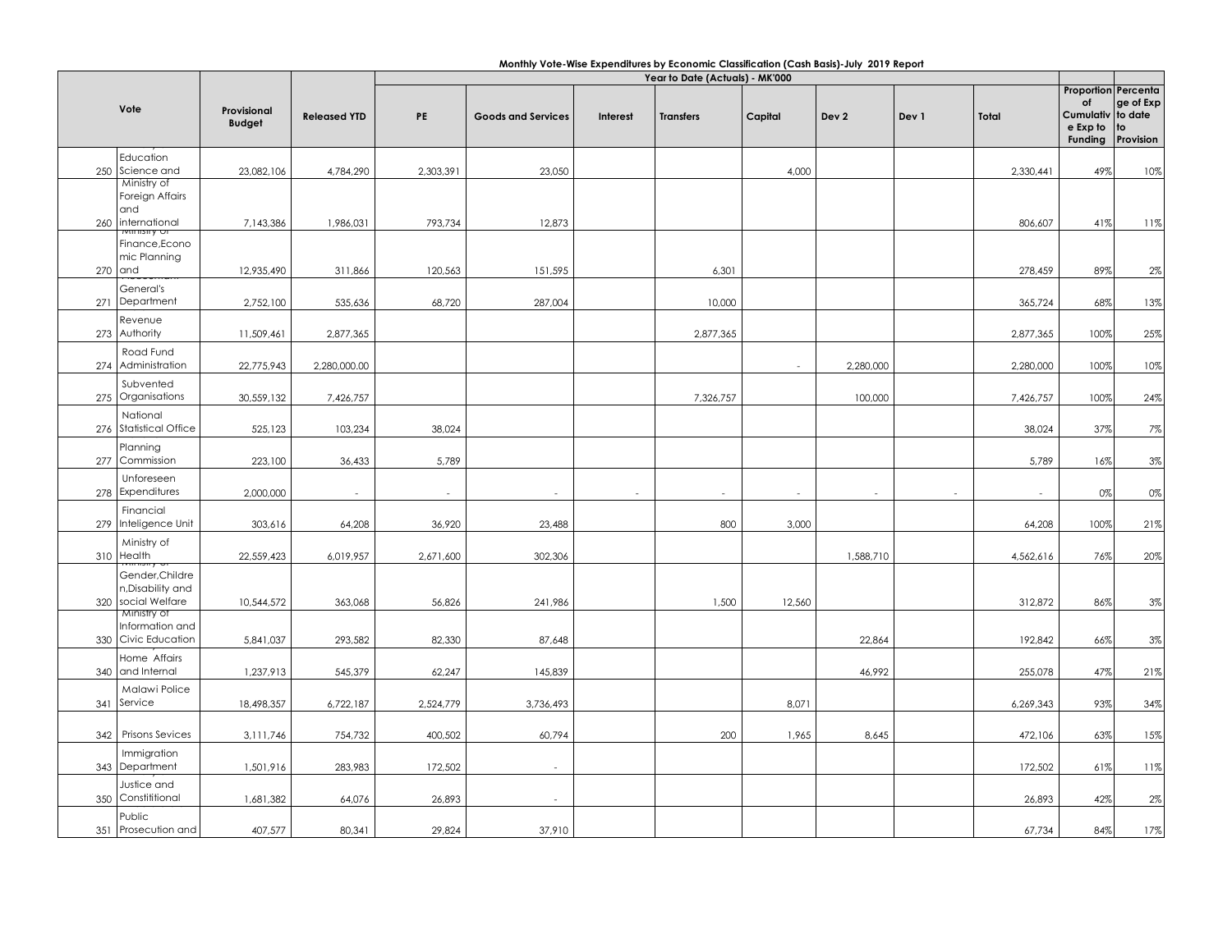| Monthly Vote-Wise Expenditures by Economic Classification (Cash Basis)-July 2019 Report |  |  |
|-----------------------------------------------------------------------------------------|--|--|
|-----------------------------------------------------------------------------------------|--|--|

| Vote |                                                       |                              |                     | Year to Date (Actuals) - MK'000 |                           |          |                  |         |                  |       |           |                                                                      |                                   |
|------|-------------------------------------------------------|------------------------------|---------------------|---------------------------------|---------------------------|----------|------------------|---------|------------------|-------|-----------|----------------------------------------------------------------------|-----------------------------------|
|      |                                                       | Provisional<br><b>Budget</b> | <b>Released YTD</b> | PE                              | <b>Goods and Services</b> | Interest | <b>Transfers</b> | Capital | Dev <sub>2</sub> | Dev 1 | Total     | <b>Proportion Percenta</b><br>of<br>Cumulativ<br>e Exp to<br>Funding | ge of Exp<br>to date<br>Provision |
|      | Education                                             |                              |                     |                                 |                           |          |                  |         |                  |       |           |                                                                      |                                   |
|      | 250 Science and                                       | 23,082,106                   | 4,784,290           | 2,303,391                       | 23,050                    |          |                  | 4,000   |                  |       | 2,330,441 | 49%                                                                  | 10%                               |
|      | Ministry of<br>Foreign Affairs<br>and                 |                              |                     |                                 |                           |          |                  |         |                  |       |           |                                                                      |                                   |
|      | 260 international                                     | 7,143,386                    | 1,986,031           | 793,734                         | 12,873                    |          |                  |         |                  |       | 806,607   | 41%                                                                  | 11%                               |
|      | Finance, Econo<br>mic Planning                        |                              |                     |                                 |                           |          |                  |         |                  |       |           |                                                                      |                                   |
|      | $270$ and                                             | 12,935,490                   | 311,866             | 120,563                         | 151,595                   |          | 6,301            |         |                  |       | 278,459   | 89%                                                                  | 2%                                |
|      | General's                                             |                              |                     |                                 |                           |          |                  |         |                  |       |           |                                                                      |                                   |
| 271  | Department                                            | 2,752,100                    | 535,636             | 68,720                          | 287,004                   |          | 10,000           |         |                  |       | 365,724   | 68%                                                                  | 13%                               |
|      | Revenue                                               |                              |                     |                                 |                           |          |                  |         |                  |       |           |                                                                      |                                   |
|      | 273 Authority                                         | 11,509,461                   | 2,877,365           |                                 |                           |          | 2,877,365        |         |                  |       | 2,877,365 | 100%                                                                 | 25%                               |
|      | Road Fund                                             |                              |                     |                                 |                           |          |                  |         |                  |       |           |                                                                      |                                   |
|      | 274 Administration                                    | 22,775,943                   | 2,280,000.00        |                                 |                           |          |                  | $\sim$  | 2,280,000        |       | 2,280,000 | 100%                                                                 | 10%                               |
|      | Subvented<br>275 Organisations                        |                              |                     |                                 |                           |          |                  |         | 100,000          |       |           | 100%                                                                 | 24%                               |
|      |                                                       | 30,559,132                   | 7,426,757           |                                 |                           |          | 7,326,757        |         |                  |       | 7,426,757 |                                                                      |                                   |
|      | National<br>276 Statistical Office                    | 525,123                      | 103,234             | 38,024                          |                           |          |                  |         |                  |       | 38,024    | 37%                                                                  | 7%                                |
|      |                                                       |                              |                     |                                 |                           |          |                  |         |                  |       |           |                                                                      |                                   |
|      | Planning<br>277 Commission                            | 223,100                      | 36,433              | 5,789                           |                           |          |                  |         |                  |       | 5,789     | 16%                                                                  | 3%                                |
|      |                                                       |                              |                     |                                 |                           |          |                  |         |                  |       |           |                                                                      |                                   |
|      | Unforeseen<br>278 Expenditures                        | 2,000,000                    | in 1919.            | $\overline{\phantom{a}}$        |                           | $\sim$   |                  |         | $\sim$           |       | $\sim$    | 0%                                                                   | 0%                                |
|      | Financial                                             |                              |                     |                                 |                           |          |                  |         |                  |       |           |                                                                      |                                   |
| 279  | Inteligence Unit                                      | 303,616                      | 64,208              | 36,920                          | 23,488                    |          | 800              | 3,000   |                  |       | 64,208    | 100%                                                                 | 21%                               |
|      | Ministry of                                           |                              |                     |                                 |                           |          |                  |         |                  |       |           |                                                                      |                                   |
|      | 310 Health                                            | 22,559,423                   | 6,019,957           | 2,671,600                       | 302,306                   |          |                  |         | 1,588,710        |       | 4,562,616 | 76%                                                                  | 20%                               |
|      | Gender, Childre                                       |                              |                     |                                 |                           |          |                  |         |                  |       |           |                                                                      |                                   |
|      | n,Disability and<br>320 social Welfare<br>Ministry of | 10,544,572                   | 363,068             | 56,826                          | 241,986                   |          | 1,500            | 12,560  |                  |       | 312,872   | 86%                                                                  | 3%                                |
|      | Information and                                       |                              |                     |                                 |                           |          |                  |         |                  |       |           |                                                                      |                                   |
|      | 330 Civic Education                                   | 5,841,037                    | 293,582             | 82,330                          | 87,648                    |          |                  |         | 22,864           |       | 192,842   | 66%                                                                  | 3%                                |
|      | Home Affairs                                          |                              |                     |                                 |                           |          |                  |         |                  |       |           |                                                                      |                                   |
| 340  | and Internal                                          | 1,237,913                    | 545,379             | 62,247                          | 145,839                   |          |                  |         | 46,992           |       | 255,078   | 47%                                                                  | 21%                               |
|      | Malawi Police                                         |                              |                     |                                 |                           |          |                  |         |                  |       |           |                                                                      |                                   |
|      | 341 Service                                           | 18,498,357                   | 6,722,187           | 2,524,779                       | 3,736,493                 |          |                  | 8,071   |                  |       | 6,269,343 | 93%                                                                  | 34%                               |
|      |                                                       |                              |                     |                                 |                           |          |                  |         |                  |       |           |                                                                      |                                   |
| 342  | Prisons Sevices                                       | 3,111,746                    | 754,732             | 400,502                         | 60,794                    |          | 200              | 1,965   | 8,645            |       | 472,106   | 63%                                                                  | 15%                               |
|      | Immigration                                           |                              |                     |                                 |                           |          |                  |         |                  |       |           |                                                                      |                                   |
|      | 343 Department                                        | 1,501,916                    | 283,983             | 172,502                         | $\sim$                    |          |                  |         |                  |       | 172,502   | 61%                                                                  | 11%                               |
|      | Justice and                                           |                              |                     |                                 |                           |          |                  |         |                  |       |           |                                                                      |                                   |
| 350  | Constititional                                        | 1,681,382                    | 64,076              | 26,893                          | $\sim$                    |          |                  |         |                  |       | 26,893    | 42%                                                                  | 2%                                |
|      | Public                                                |                              |                     |                                 |                           |          |                  |         |                  |       |           |                                                                      |                                   |
|      | 351 Prosecution and                                   | 407,577                      | 80,341              | 29,824                          | 37,910                    |          |                  |         |                  |       | 67,734    | 84%                                                                  | 17%                               |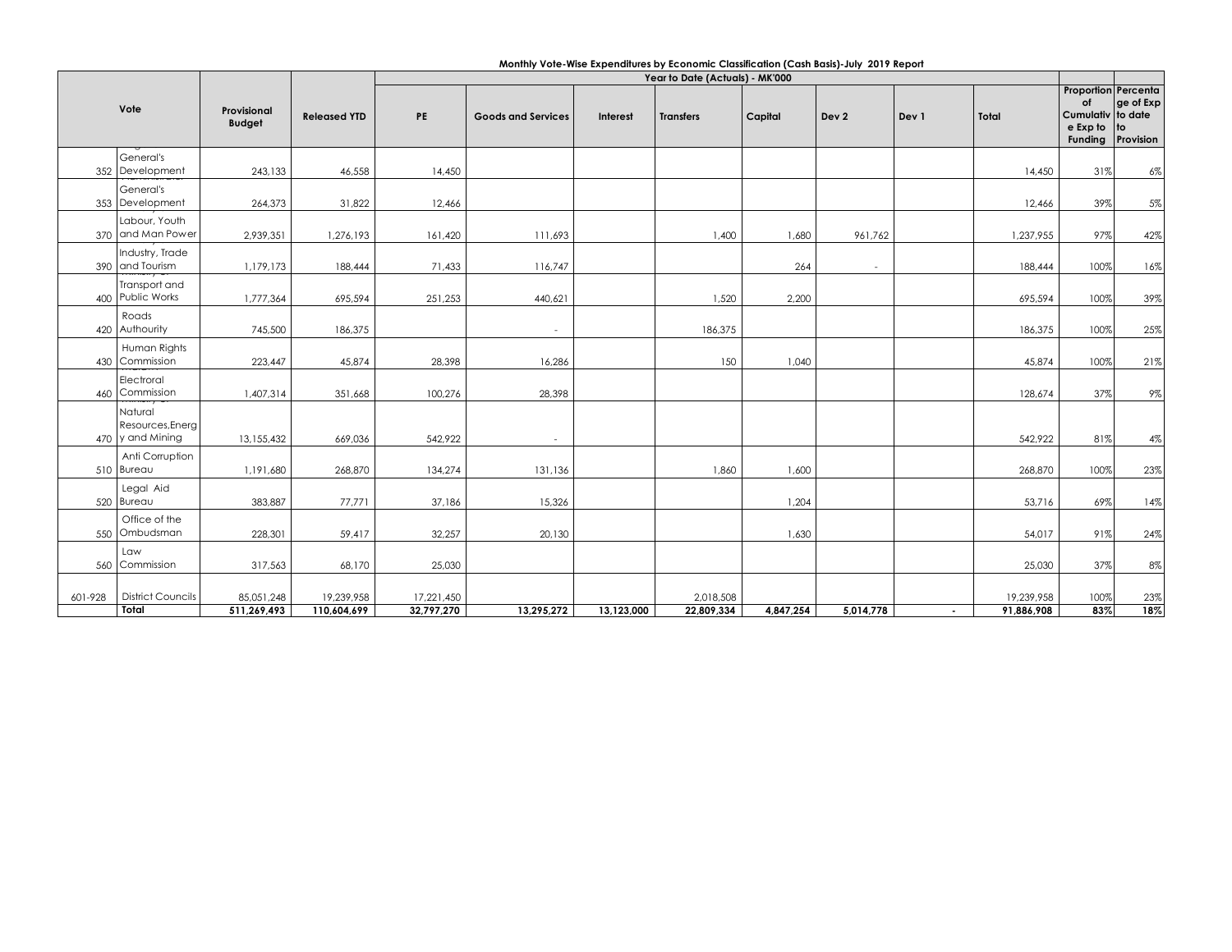|         |                                                 |                              |                     | Monthly Vote-Wise Expenditures by Economic Classification (Cash Basis)-July 2019 Report<br>Year to Date (Actuals) - MK'000 |                           |                 |                  |           |                  |        |            |                                                                              |                              |  |
|---------|-------------------------------------------------|------------------------------|---------------------|----------------------------------------------------------------------------------------------------------------------------|---------------------------|-----------------|------------------|-----------|------------------|--------|------------|------------------------------------------------------------------------------|------------------------------|--|
|         | Vote                                            | Provisional<br><b>Budget</b> | <b>Released YTD</b> | PE                                                                                                                         | <b>Goods and Services</b> | <b>Interest</b> | <b>Transfers</b> | Capital   | Dev <sub>2</sub> | Dev 1  | Total      | <b>Proportion Percenta</b><br>of<br>Cumulativ to date<br>e Exp to<br>Funding | ge of Exp<br>to<br>Provision |  |
|         | General's<br>352 Development                    | 243,133                      | 46,558              | 14,450                                                                                                                     |                           |                 |                  |           |                  |        | 14,450     | 31%                                                                          | $6\%$                        |  |
|         | General's<br>353 Development                    | 264,373                      | 31,822              | 12,466                                                                                                                     |                           |                 |                  |           |                  |        | 12,466     | 39%                                                                          | 5%                           |  |
|         | Labour, Youth<br>370 and Man Power              | 2,939,351                    | 1,276,193           | 161,420                                                                                                                    | 111,693                   |                 | 1,400            | 1,680     | 961,762          |        | 1,237,955  | 97%                                                                          | 42%                          |  |
|         | Industry, Trade<br>390 and Tourism              | 1,179,173                    | 188,444             | 71,433                                                                                                                     | 116,747                   |                 |                  | 264       | $\sim$           |        | 188,444    | 100%                                                                         | 16%                          |  |
|         | Transport and<br>400 Public Works               | 1,777,364                    | 695,594             | 251,253                                                                                                                    | 440,621                   |                 | 1,520            | 2,200     |                  |        | 695,594    | 100%                                                                         | 39%                          |  |
|         | Roads<br>420 Authourity                         | 745,500                      | 186,375             |                                                                                                                            | $\sim$                    |                 | 186,375          |           |                  |        | 186,375    | 100%                                                                         | 25%                          |  |
|         | Human Rights<br>430 Commission                  | 223,447                      | 45,874              | 28,398                                                                                                                     | 16,286                    |                 | 150              | 1,040     |                  |        | 45,874     | 100%                                                                         | 21%                          |  |
|         | Electroral<br>460 Commission                    | 1,407,314                    | 351,668             | 100,276                                                                                                                    | 28,398                    |                 |                  |           |                  |        | 128,674    | 37%                                                                          | 9%                           |  |
|         | Natural<br>Resources, Energ<br>470 y and Mining | 13,155,432                   | 669,036             | 542,922                                                                                                                    | $\tilde{\phantom{a}}$     |                 |                  |           |                  |        | 542,922    | 81%                                                                          | 4%                           |  |
|         | Anti Corruption<br>510 Bureau                   | 1,191,680                    | 268,870             | 134,274                                                                                                                    | 131,136                   |                 | 1,860            | 1,600     |                  |        | 268,870    | 100%                                                                         | 23%                          |  |
|         | Legal Aid<br>520 Bureau                         | 383,887                      | 77,771              | 37,186                                                                                                                     | 15,326                    |                 |                  | 1,204     |                  |        | 53,716     | 69%                                                                          | 14%                          |  |
|         | Office of the<br>550 Ombudsman                  | 228,301                      | 59,417              | 32,257                                                                                                                     | 20,130                    |                 |                  | 1,630     |                  |        | 54,017     | 91%                                                                          | 24%                          |  |
|         | Law<br>560 Commission                           | 317,563                      | 68,170              | 25,030                                                                                                                     |                           |                 |                  |           |                  |        | 25,030     | 37%                                                                          | 8%                           |  |
| 601-928 | <b>District Councils</b>                        | 85,051,248                   | 19,239,958          | 17,221,450                                                                                                                 |                           |                 | 2,018,508        |           |                  |        | 19,239,958 | 100%                                                                         | 23%                          |  |
|         | Total                                           | 511,269,493                  | 110,604,699         | 32,797,270                                                                                                                 | 13,295,272                | 13,123,000      | 22,809,334       | 4,847,254 | 5,014,778        | $\sim$ | 91,886,908 | 83%                                                                          | 18%                          |  |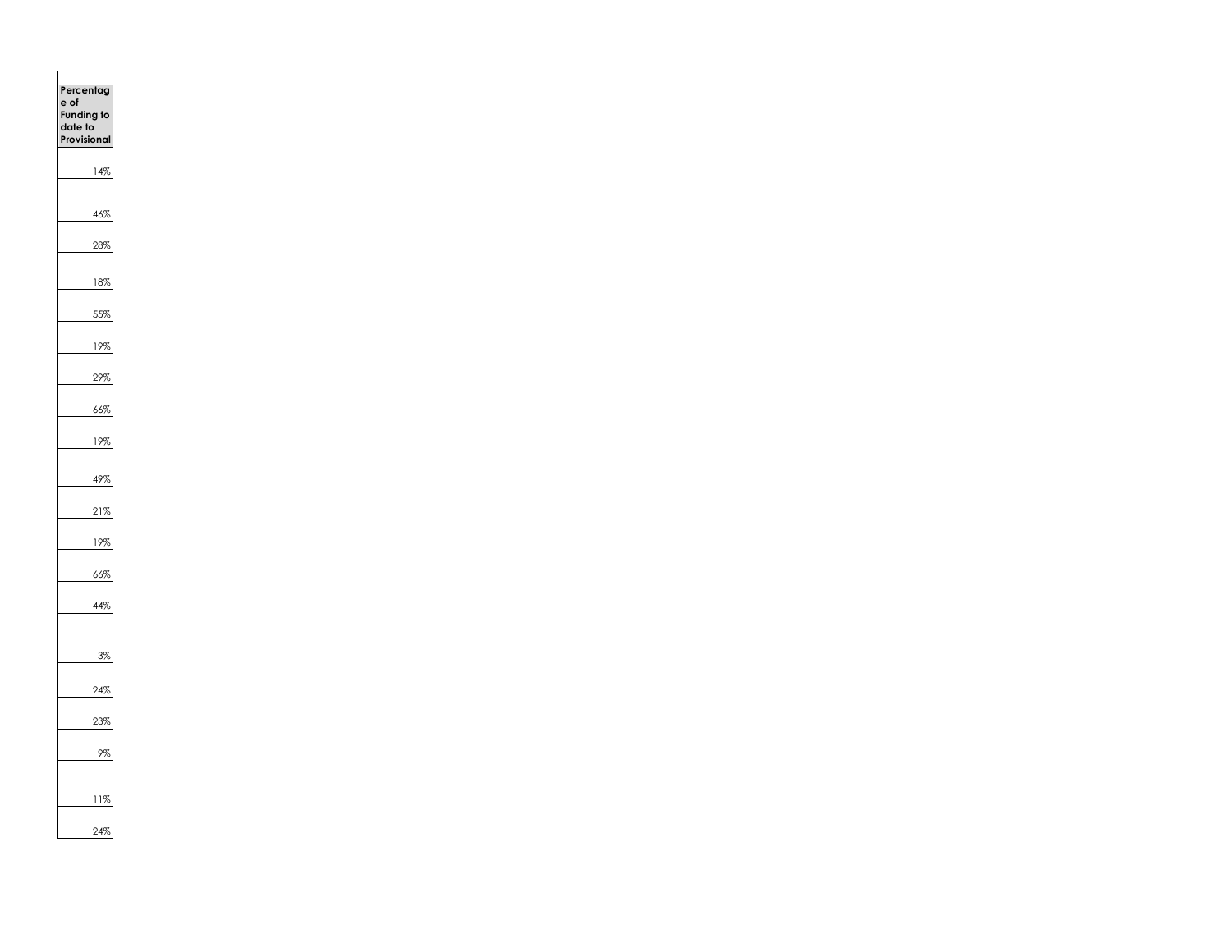**Percentag e of Funding to date to Provisional**  14% 46% 28% 18% 55% 19% 29% 66% 19% 49% 21% 19% 66% 44% 3% 24% 23% 9% 11% 24%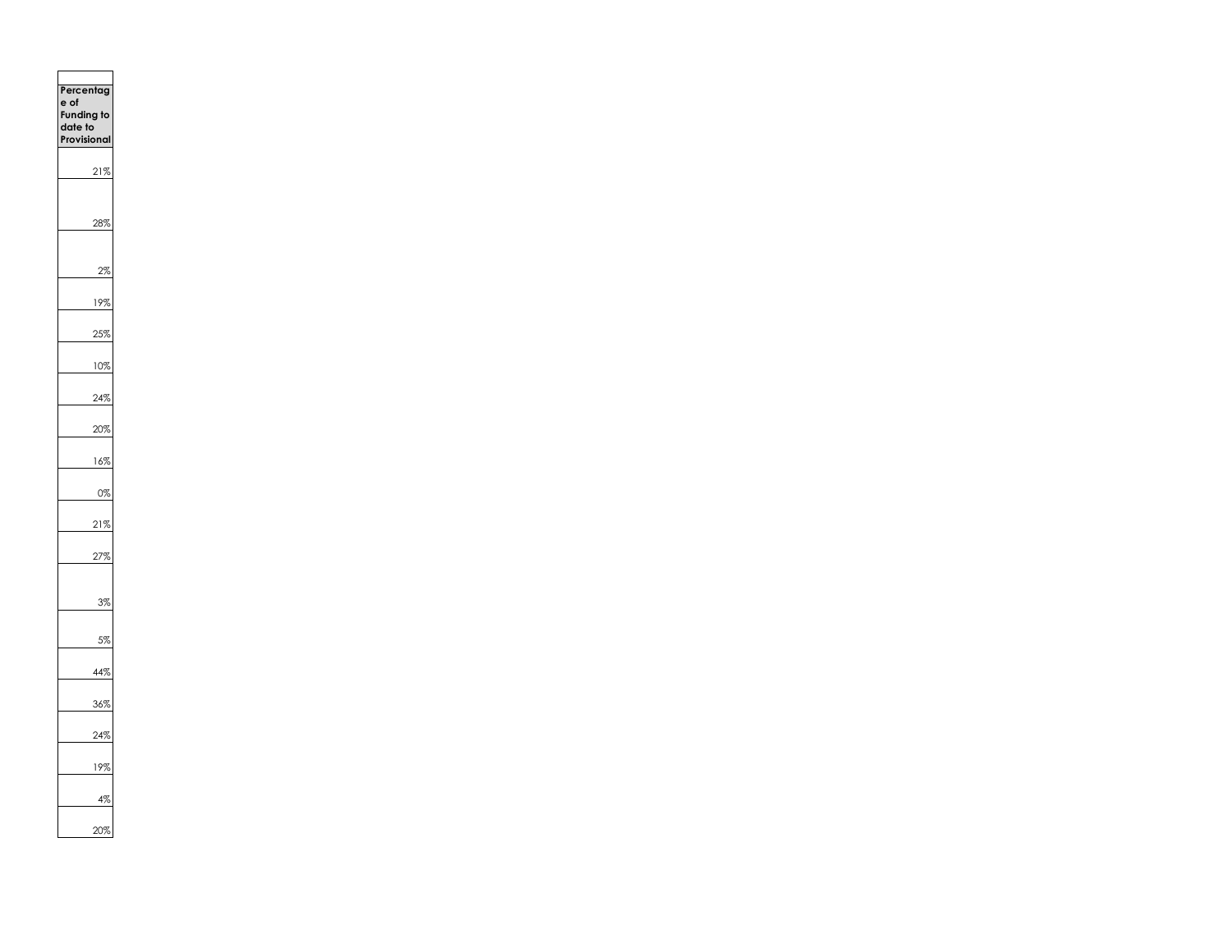| ero<br>٦t<br>ľ<br>e of<br>Funding<br>date to<br>rovisior | g<br>ıl |
|----------------------------------------------------------|---------|
| 21%                                                      |         |
|                                                          | 7       |
|                                                          | 7       |
| 19                                                       | ξ       |
|                                                          | 7       |
| $\mathcal{I}(\mathcal{A})$                               | 7       |
| 4%<br>$\overline{c}$                                     |         |
| 20                                                       | %       |
| 16                                                       | 9       |
|                                                          | η       |
| ļ                                                        | Z       |
|                                                          | 7       |
|                                                          | 7       |
|                                                          | 7       |
|                                                          | 7       |
|                                                          |         |
|                                                          | ζ       |
| 1                                                        |         |
|                                                          | 7       |
| 20%                                                      |         |